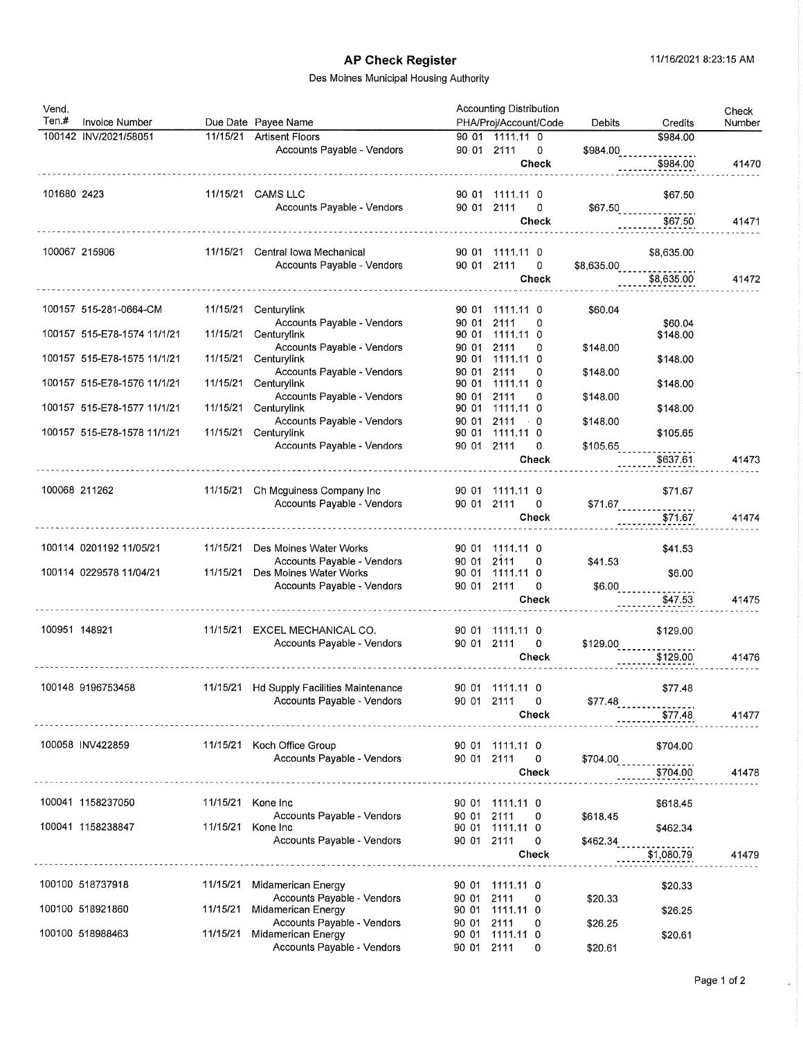## AP Check Register 11/16/2021 8:23:15 AM

### Des Moines Municipal Housing Authority

| Vend.         |                             |                   |                                                        |            | <b>Accounting Distribution</b>            |                           |                                     |                 |
|---------------|-----------------------------|-------------------|--------------------------------------------------------|------------|-------------------------------------------|---------------------------|-------------------------------------|-----------------|
| Ten.#         | <b>Invoice Number</b>       |                   | Due Date Payee Name                                    |            | PHA/Proj/Account/Code                     | Debits                    | Credits                             | Check<br>Number |
|               | 100142 INV/2021/58051       |                   | 11/15/21 Artisent Floors                               |            | 90 01 1111.11 0                           |                           | \$984.00                            |                 |
|               |                             |                   | Accounts Payable - Vendors                             |            | 90 01 2111<br>0                           | \$984.00                  |                                     |                 |
|               |                             |                   |                                                        |            | <b>Check</b>                              |                           | \$984.00                            | 41470           |
| 101680 2423   |                             |                   | 11/15/21 CAMS LLC                                      |            | 90 01 1111.11 0                           |                           | \$67,50                             |                 |
|               |                             |                   | Accounts Payable - Vendors                             | 90 01 2111 | 0<br>Check                                |                           | \$67.50<br>\$67.50                  | 41471           |
|               | 100067 215906               |                   | 11/15/21 Central lowa Mechanical                       |            | 90 01 1111.11 0                           |                           | \$8,635.00                          |                 |
|               |                             |                   | Accounts Payable - Vendors                             | 90 01 2111 | 0                                         | \$8,635.00                |                                     |                 |
|               |                             |                   |                                                        |            | <b>Check</b>                              |                           | \$8,635.00                          | 41472           |
|               | 100157 515-281-0664-CM      | 11/15/21          | Centurylink                                            |            | 90 01 1111.11 0                           | \$60.04                   |                                     |                 |
|               | 100157 515-E78-1574 11/1/21 | 11/15/21          | Accounts Payable - Vendors<br>Centurylink              | 90 01      | 2111<br>0<br>90 01 1111.11 0              |                           | \$60.04<br>\$148.00                 |                 |
|               |                             |                   | Accounts Payable - Vendors                             | 90 01      | 2111<br>0                                 | \$148.00                  |                                     |                 |
|               | 100157 515-E78-1575 11/1/21 | 11/15/21          | Centurylink<br>Accounts Payable - Vendors              | 90 01      | 90 01 1111.11 0<br>2111<br>0              |                           | \$148.00                            |                 |
|               | 100157 515-E78-1576 11/1/21 | 11/15/21          | Centurylink                                            |            | 90 01 1111.11 0                           | \$148.00                  | \$148.00                            |                 |
|               |                             |                   | Accounts Payable - Vendors                             | 90 01      | 2111<br>0                                 | \$148.00                  |                                     |                 |
|               | 100157 515-E78-1577 11/1/21 | 11/15/21          | Centurylink                                            |            | 90 01 1111,11 0                           |                           | \$148.00                            |                 |
|               | 100157 515-E78-1578 11/1/21 | 11/15/21          | Accounts Payable - Vendors<br>Centurylink              | 90 01 2111 | $\ddot{\phantom{0}}$ 0<br>90 01 1111.11 0 | \$148.00                  | \$105.65                            |                 |
|               |                             |                   | Accounts Payable - Vendors                             | 90 01 2111 | 0                                         | \$105.65                  |                                     |                 |
|               |                             |                   |                                                        |            | <b>Check</b>                              |                           | \$637.61                            | 41473           |
|               |                             |                   |                                                        |            |                                           |                           |                                     |                 |
| 100068 211262 |                             | 11/15/21          | Ch Mcguiness Company Inc<br>Accounts Payable - Vendors | 90 01 2111 | 90 01 1111.11 0<br>0                      |                           | \$71.67                             |                 |
|               |                             |                   |                                                        |            | <b>Check</b>                              |                           | \$71.67<br>\$71.67                  | 41474           |
|               |                             |                   |                                                        |            |                                           |                           |                                     |                 |
|               | 100114 0201192 11/05/21     | 11/15/21          | Des Moines Water Works<br>Accounts Payable - Vendors   | 90 01      | 90 01 1111.11 0<br>2111<br>0              | \$41.53                   | \$41.53                             |                 |
|               | 100114 0229578 11/04/21     | 11/15/21          | Des Moines Water Works                                 | 90 01      | 1111.11 0                                 |                           | \$6.00                              |                 |
|               |                             |                   | Accounts Payable - Vendors                             | 90 01 2111 | 0                                         | $$6.00$ <sub>______</sub> |                                     |                 |
|               |                             |                   |                                                        |            | Check                                     |                           | \$47.53                             | 41475           |
| 100951 148921 |                             | 11/15/21          | EXCEL MECHANICAL CO.                                   |            | 90 01 1111.11 0                           |                           | \$129.00                            |                 |
|               |                             |                   | Accounts Payable - Vendors                             | 90 01 2111 | 0                                         |                           |                                     |                 |
|               |                             |                   |                                                        |            | Check                                     |                           | $$129.00$<br>$$129.00$<br>$$129.00$ | 41476           |
|               | 100148 9196753458           |                   | 11/15/21 Hd Supply Facilities Maintenance              |            | 90 01 1111.11 0                           |                           | \$77.48                             |                 |
|               |                             |                   | Accounts Payable - Vendors                             | 90 01 2111 | 0                                         | \$77.48                   |                                     |                 |
|               |                             |                   |                                                        |            | Check                                     |                           | \$77.48                             | 41477           |
|               | 100058 INV422859            |                   | 11/15/21 Koch Office Group                             |            | 90 01 1111.11 0                           |                           | \$704.00                            |                 |
|               |                             |                   | Accounts Payable - Vendors                             | 90 01 2111 | $\mathbf 0$                               | \$704.00                  |                                     |                 |
|               |                             |                   |                                                        |            | Check                                     |                           | \$704.00                            | 41478           |
|               | 100041 1158237050           | 11/15/21 Kone Inc |                                                        |            | 90 01 1111.11 0                           |                           | \$618.45                            |                 |
|               |                             |                   | Accounts Payable - Vendors                             | 90 01 2111 | 0                                         | \$618.45                  |                                     |                 |
|               | 100041 1158238847           | 11/15/21 Kone Inc |                                                        |            | 90 01 1111.11 0                           |                           | \$462.34                            |                 |
|               |                             |                   | Accounts Payable - Vendors                             | 90 01 2111 | 0<br>Check                                | \$462.34                  | \$1,080.79                          | 41479           |
|               |                             |                   |                                                        |            |                                           |                           |                                     |                 |
|               | 100100 518737918            | 11/15/21          | Midamerican Energy                                     |            | 90 01 1111.11 0                           |                           | \$20.33                             |                 |
|               | 100100 518921860            | 11/15/21          | Accounts Payable - Vendors<br>Midamerican Energy       | 90 01      | 2111<br>0<br>90 01 1111.11 0              | \$20.33                   | \$26.25                             |                 |
|               |                             |                   | Accounts Payable - Vendors                             | 90 01      | 2111<br>0                                 | \$26.25                   |                                     |                 |
|               | 100100 518988463            | 11/15/21          | Midamerican Energy                                     |            | 90 01 1111.11 0                           |                           | \$20.61                             |                 |
|               |                             |                   | Accounts Payable - Vendors                             | 90 01 2111 | 0                                         | \$20.61                   |                                     |                 |

 $\overline{\phantom{a}}$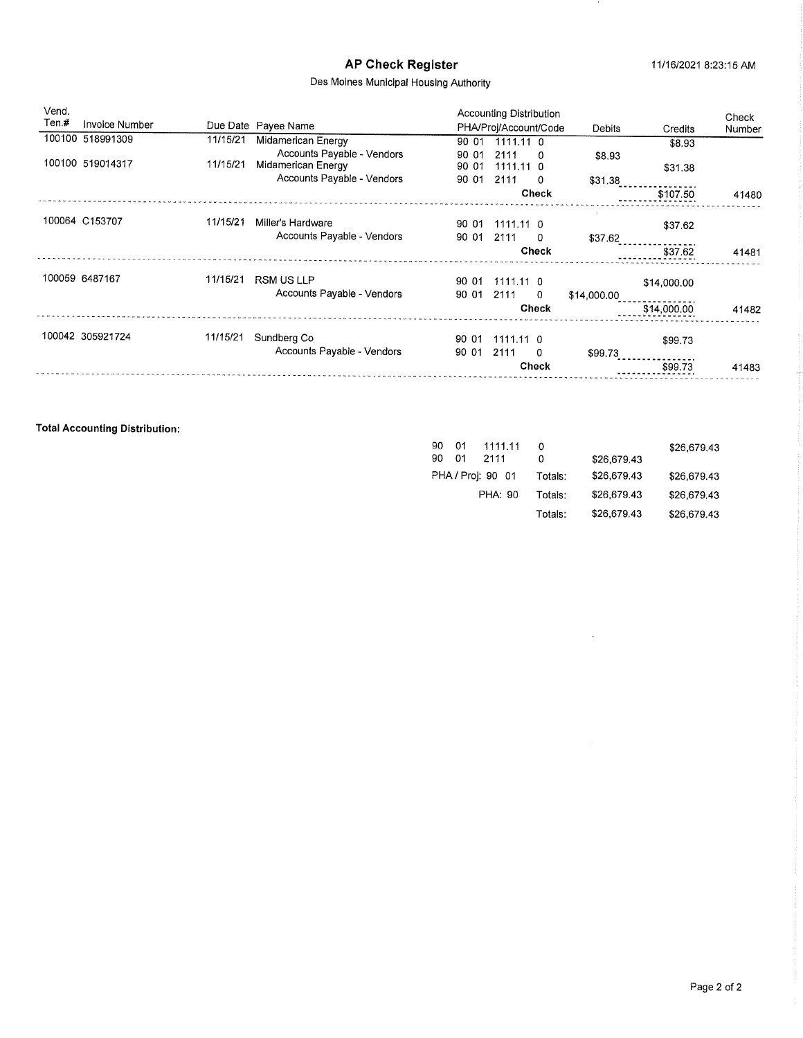### Des Moines Municipal Housing Authority

| Vend.<br>Ten.# | <b>Invoice Number</b> |          |                                                  |                | Accounting Distribution |              |               |             | Check  |
|----------------|-----------------------|----------|--------------------------------------------------|----------------|-------------------------|--------------|---------------|-------------|--------|
|                |                       |          | Due Date Payee Name                              |                | PHA/Proj/Account/Code   |              | <b>Debits</b> | Credits     | Number |
|                | 100100 518991309      | 11/15/21 | Midamerican Energy<br>Accounts Payable - Vendors | 90 01<br>90 01 | $1111.11$ 0<br>2111     | $\Omega$     | \$8.93        | \$8.93      |        |
|                | 100100 519014317      | 11/15/21 | Midamerican Energy                               | 90 01          | $1111.11$ 0             |              |               | \$31.38     |        |
|                |                       |          | Accounts Payable - Vendors                       | 90 01          | 2111                    | 0            | \$31.38       |             |        |
|                |                       |          |                                                  |                |                         | <b>Check</b> |               | \$107.50    | 41480  |
|                | 100064 C153707        | 11/15/21 | Miller's Hardware                                | 90 01          | $1111.11$ 0             |              |               | \$37.62     |        |
|                |                       |          | Accounts Payable - Vendors                       | 90 01          | 2111                    | 0            | \$37.62       |             |        |
|                |                       |          |                                                  |                |                         | <b>Check</b> |               | \$37.62     | 41481  |
|                | 100059 6487167        | 11/15/21 | <b>RSM US LLP</b>                                | 90 01          | $1111.11$ 0             |              |               | \$14,000.00 |        |
|                |                       |          | Accounts Payable - Vendors                       | 90 01          | 2111                    | -0           | \$14,000.00   |             |        |
|                |                       |          |                                                  |                |                         | <b>Check</b> |               | \$14,000.00 | 41482  |
|                | 100042 305921724      | 11/15/21 | Sundberg Co                                      | 90 01          | 1111.11 0               |              |               | \$99.73     |        |
|                |                       |          | Accounts Payable - Vendors                       | 90 01          | 2111                    | 0            | \$99.73       |             |        |
|                |                       |          |                                                  |                |                         | Check        |               | \$99.73     | 41483  |
|                |                       |          |                                                  |                |                         |              |               |             |        |

### Total Accounting Distribution:

| 90. | 01 | 1111.11           |         |             | \$26,679.43 |
|-----|----|-------------------|---------|-------------|-------------|
| 90  | 01 | 2111              | 0       | \$26,679.43 |             |
|     |    | PHA / Proj: 90 01 | Totals: | \$26,679.43 | \$26,679.43 |
|     |    | PHA: 90           | Totals: | \$26,679.43 | \$26,679.43 |
|     |    |                   | Totals: | \$26,679.43 | \$26,679.43 |

 $\hat{\mathcal{A}}$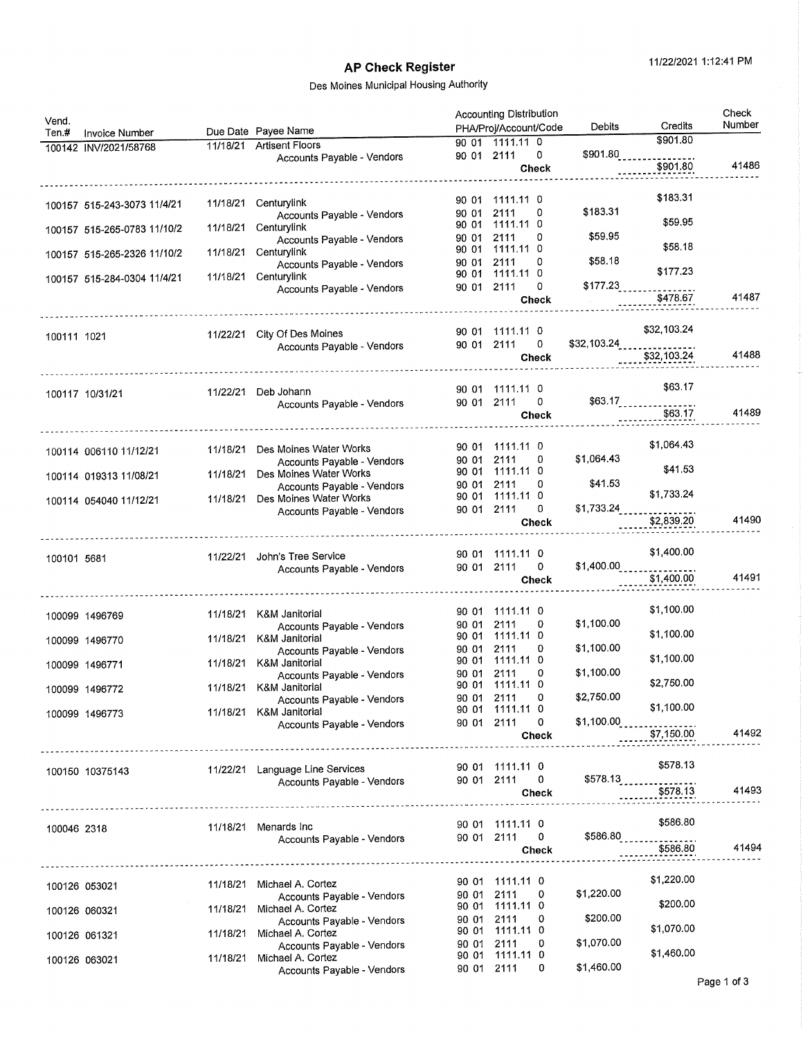# AP Check Register 11/22/2021 1:12:41 PM

| 90 01 1111.11 0<br>11/18/21 Artisent Floors<br>100142 INV/2021/58768<br>\$901.80<br>90 01 2111<br>0<br>Accounts Payable - Vendors<br>41486<br>\$901.80<br>Check<br>\$183.31<br>1111.11 0<br>90 01<br>11/18/21<br>Centurylink<br>100157 515-243-3073 11/4/21<br>\$183.31<br>2111<br>0<br>90 01<br>Accounts Payable - Vendors<br>\$59.95<br>1111.11 0<br>90 01<br>Centurylink<br>11/18/21<br>100157 515-265-0783 11/10/2<br>\$59.95<br>2111<br>0<br>90 01<br>Accounts Payable - Vendors<br>\$58.18<br>1111.11 0<br>90 01<br>Centurylink<br>11/18/21<br>100157 515-265-2326 11/10/2<br>\$58.18<br>0<br>2111<br>90 01<br>Accounts Payable - Vendors<br>\$177.23<br>1111.11 0<br>90 01<br>Centurylink<br>11/18/21<br>100157 515-284-0304 11/4/21<br>$$177.23$<br>$$478.67$<br>2111<br>0<br>90 01<br>Accounts Payable - Vendors<br>41487<br>Check<br>\$32,103.24<br>90 01 1111.11 0<br>City Of Des Moines<br>11/22/21<br>100111 1021<br>$$32,103.24$ <sub>---------------</sub><br>90 01 2111<br>0<br>Accounts Payable - Vendors<br>41488<br>\$32,103.24<br>Check<br>\$63.17<br>90 01 1111.11 0<br>Deb Johann<br>11/22/21<br>100117 10/31/21<br>$$63.17$ <sub>---------------</sub><br>90 01 2111<br>0<br>Accounts Payable - Vendors<br>\$63.17<br><b>Check</b><br>\$1,064.43<br>90 01 1111.11 0<br>Des Moines Water Works<br>11/18/21<br>100114 006110 11/12/21<br>\$1,064.43<br>90 01 2111<br>0<br>Accounts Payable - Vendors<br>\$41.53<br>90 01 1111.11 0<br>Des Moines Water Works<br>11/18/21<br>100114 019313 11/08/21<br>\$41.53<br>2111<br>0<br>90 01<br>Accounts Payable - Vendors<br>\$1,733.24<br>1111.11 0<br>90 01<br>Des Moines Water Works<br>11/18/21<br>100114 054040 11/12/21<br>\$1,733.24<br>90 01 2111<br>0<br>Accounts Payable - Vendors<br>\$2,839.20<br>41490<br>Check<br>\$1,400.00<br>90 01 1111.11 0<br>John's Tree Service<br>11/22/21<br>100101 5681<br>\$1,400.00<br>90 01 2111<br>0<br>Accounts Payable - Vendors<br>\$1,400.00<br>41491<br>Check<br>\$1,100.00<br>1111.11 0<br>90 01<br>K&M Janitorial<br>11/18/21<br>100099 1496769<br>\$1,100.00<br>2111<br>0<br>90 01<br>Accounts Payable - Vendors<br>\$1,100.00<br>1111.11 0<br>90 01<br>K&M Janitorial<br>11/18/21<br>100099 1496770<br>\$1,100.00<br>2111<br>0<br>90 01<br>Accounts Payable - Vendors<br>\$1,100.00<br>1111.11 0<br>90 01<br>11/18/21<br>K&M Janitorial<br>100099 1496771<br>\$1,100.00<br>2111<br>90 01<br>0<br>Accounts Payable - Vendors<br>\$2,750.00<br>90 01 1111.11 0<br>K&M Janitorial<br>11/18/21<br>100099 1496772<br>\$2,750.00<br>2111<br>90 01<br>0<br>Accounts Payable - Vendors<br>\$1,100.00<br>90 01 1111.11 0<br>K&M Janitorial<br>11/18/21<br>100099 1496773<br>\$1,100.00<br>90 01 2111<br>0<br>Accounts Payable - Vendors<br>\$7,150.00<br>Check<br>-------------------------------<br>\$578.13<br>90 01 1111.11 0<br>11/22/21 Language Line Services<br>100150 10375143<br>$$578.13$ <sub>222222222222222</sub> .<br>90 01 2111<br>0<br>Accounts Payable - Vendors<br>41493<br>\$578.13<br>Check<br>\$586.80<br>90 01 1111.11 0<br>11/18/21 Menards Inc<br>100046 2318<br>\$586.80<br>90 01 2111<br>$\mathbf{0}$<br>Accounts Payable - Vendors<br>\$586.80<br>41494<br>Check<br>\$1,220.00<br>90 01 1111.11 0<br>Michael A. Cortez<br>11/18/21<br>100126 053021<br>2111<br>\$1,220.00<br>0<br>90 01<br>Accounts Payable - Vendors<br>\$200.00<br>90 01 1111.11 0<br>Michael A. Cortez<br>11/18/21<br>100126 060321<br>\$200.00<br>2111<br>0<br>90 01<br>Accounts Payable - Vendors<br>\$1,070.00<br>1111.11 0<br>90 01<br>Michael A. Cortez<br>11/18/21<br>100126 061321<br>\$1,070.00<br>2111<br>0<br>90 01<br>Accounts Payable - Vendors<br>\$1,460.00<br>1111.11 0<br>90 01<br>Michael A. Cortez<br>11/18/21<br>100126 063021<br>90 01 2111 | Vend.<br>Ten.#<br>Invoice Number | Due Date Payee Name        | <b>Accounting Distribution</b><br>PHA/Proj/Account/Code | Debits     | Credits  | Check<br>Number |
|------------------------------------------------------------------------------------------------------------------------------------------------------------------------------------------------------------------------------------------------------------------------------------------------------------------------------------------------------------------------------------------------------------------------------------------------------------------------------------------------------------------------------------------------------------------------------------------------------------------------------------------------------------------------------------------------------------------------------------------------------------------------------------------------------------------------------------------------------------------------------------------------------------------------------------------------------------------------------------------------------------------------------------------------------------------------------------------------------------------------------------------------------------------------------------------------------------------------------------------------------------------------------------------------------------------------------------------------------------------------------------------------------------------------------------------------------------------------------------------------------------------------------------------------------------------------------------------------------------------------------------------------------------------------------------------------------------------------------------------------------------------------------------------------------------------------------------------------------------------------------------------------------------------------------------------------------------------------------------------------------------------------------------------------------------------------------------------------------------------------------------------------------------------------------------------------------------------------------------------------------------------------------------------------------------------------------------------------------------------------------------------------------------------------------------------------------------------------------------------------------------------------------------------------------------------------------------------------------------------------------------------------------------------------------------------------------------------------------------------------------------------------------------------------------------------------------------------------------------------------------------------------------------------------------------------------------------------------------------------------------------------------------------------------------------------------------------------------------------------------------------------------------------------------------------------------------------------------------------------------------------------------------------------------------------------------------------------------------------------------------------------------------------------------------------------------------------------------------------------------------------------------------------------------------------------------------------------------------------------------------------------------------------------------------------------------------------------------------------------------------------------------|----------------------------------|----------------------------|---------------------------------------------------------|------------|----------|-----------------|
|                                                                                                                                                                                                                                                                                                                                                                                                                                                                                                                                                                                                                                                                                                                                                                                                                                                                                                                                                                                                                                                                                                                                                                                                                                                                                                                                                                                                                                                                                                                                                                                                                                                                                                                                                                                                                                                                                                                                                                                                                                                                                                                                                                                                                                                                                                                                                                                                                                                                                                                                                                                                                                                                                                                                                                                                                                                                                                                                                                                                                                                                                                                                                                                                                                                                                                                                                                                                                                                                                                                                                                                                                                                                                                                                                                        |                                  |                            |                                                         |            | \$901.80 |                 |
|                                                                                                                                                                                                                                                                                                                                                                                                                                                                                                                                                                                                                                                                                                                                                                                                                                                                                                                                                                                                                                                                                                                                                                                                                                                                                                                                                                                                                                                                                                                                                                                                                                                                                                                                                                                                                                                                                                                                                                                                                                                                                                                                                                                                                                                                                                                                                                                                                                                                                                                                                                                                                                                                                                                                                                                                                                                                                                                                                                                                                                                                                                                                                                                                                                                                                                                                                                                                                                                                                                                                                                                                                                                                                                                                                                        |                                  |                            |                                                         |            |          |                 |
|                                                                                                                                                                                                                                                                                                                                                                                                                                                                                                                                                                                                                                                                                                                                                                                                                                                                                                                                                                                                                                                                                                                                                                                                                                                                                                                                                                                                                                                                                                                                                                                                                                                                                                                                                                                                                                                                                                                                                                                                                                                                                                                                                                                                                                                                                                                                                                                                                                                                                                                                                                                                                                                                                                                                                                                                                                                                                                                                                                                                                                                                                                                                                                                                                                                                                                                                                                                                                                                                                                                                                                                                                                                                                                                                                                        |                                  |                            |                                                         |            |          |                 |
|                                                                                                                                                                                                                                                                                                                                                                                                                                                                                                                                                                                                                                                                                                                                                                                                                                                                                                                                                                                                                                                                                                                                                                                                                                                                                                                                                                                                                                                                                                                                                                                                                                                                                                                                                                                                                                                                                                                                                                                                                                                                                                                                                                                                                                                                                                                                                                                                                                                                                                                                                                                                                                                                                                                                                                                                                                                                                                                                                                                                                                                                                                                                                                                                                                                                                                                                                                                                                                                                                                                                                                                                                                                                                                                                                                        |                                  |                            |                                                         |            |          |                 |
|                                                                                                                                                                                                                                                                                                                                                                                                                                                                                                                                                                                                                                                                                                                                                                                                                                                                                                                                                                                                                                                                                                                                                                                                                                                                                                                                                                                                                                                                                                                                                                                                                                                                                                                                                                                                                                                                                                                                                                                                                                                                                                                                                                                                                                                                                                                                                                                                                                                                                                                                                                                                                                                                                                                                                                                                                                                                                                                                                                                                                                                                                                                                                                                                                                                                                                                                                                                                                                                                                                                                                                                                                                                                                                                                                                        |                                  |                            |                                                         |            |          |                 |
|                                                                                                                                                                                                                                                                                                                                                                                                                                                                                                                                                                                                                                                                                                                                                                                                                                                                                                                                                                                                                                                                                                                                                                                                                                                                                                                                                                                                                                                                                                                                                                                                                                                                                                                                                                                                                                                                                                                                                                                                                                                                                                                                                                                                                                                                                                                                                                                                                                                                                                                                                                                                                                                                                                                                                                                                                                                                                                                                                                                                                                                                                                                                                                                                                                                                                                                                                                                                                                                                                                                                                                                                                                                                                                                                                                        |                                  |                            |                                                         |            |          |                 |
|                                                                                                                                                                                                                                                                                                                                                                                                                                                                                                                                                                                                                                                                                                                                                                                                                                                                                                                                                                                                                                                                                                                                                                                                                                                                                                                                                                                                                                                                                                                                                                                                                                                                                                                                                                                                                                                                                                                                                                                                                                                                                                                                                                                                                                                                                                                                                                                                                                                                                                                                                                                                                                                                                                                                                                                                                                                                                                                                                                                                                                                                                                                                                                                                                                                                                                                                                                                                                                                                                                                                                                                                                                                                                                                                                                        |                                  |                            |                                                         |            |          |                 |
|                                                                                                                                                                                                                                                                                                                                                                                                                                                                                                                                                                                                                                                                                                                                                                                                                                                                                                                                                                                                                                                                                                                                                                                                                                                                                                                                                                                                                                                                                                                                                                                                                                                                                                                                                                                                                                                                                                                                                                                                                                                                                                                                                                                                                                                                                                                                                                                                                                                                                                                                                                                                                                                                                                                                                                                                                                                                                                                                                                                                                                                                                                                                                                                                                                                                                                                                                                                                                                                                                                                                                                                                                                                                                                                                                                        |                                  |                            |                                                         |            |          |                 |
|                                                                                                                                                                                                                                                                                                                                                                                                                                                                                                                                                                                                                                                                                                                                                                                                                                                                                                                                                                                                                                                                                                                                                                                                                                                                                                                                                                                                                                                                                                                                                                                                                                                                                                                                                                                                                                                                                                                                                                                                                                                                                                                                                                                                                                                                                                                                                                                                                                                                                                                                                                                                                                                                                                                                                                                                                                                                                                                                                                                                                                                                                                                                                                                                                                                                                                                                                                                                                                                                                                                                                                                                                                                                                                                                                                        |                                  |                            |                                                         |            |          |                 |
|                                                                                                                                                                                                                                                                                                                                                                                                                                                                                                                                                                                                                                                                                                                                                                                                                                                                                                                                                                                                                                                                                                                                                                                                                                                                                                                                                                                                                                                                                                                                                                                                                                                                                                                                                                                                                                                                                                                                                                                                                                                                                                                                                                                                                                                                                                                                                                                                                                                                                                                                                                                                                                                                                                                                                                                                                                                                                                                                                                                                                                                                                                                                                                                                                                                                                                                                                                                                                                                                                                                                                                                                                                                                                                                                                                        |                                  |                            |                                                         |            |          |                 |
|                                                                                                                                                                                                                                                                                                                                                                                                                                                                                                                                                                                                                                                                                                                                                                                                                                                                                                                                                                                                                                                                                                                                                                                                                                                                                                                                                                                                                                                                                                                                                                                                                                                                                                                                                                                                                                                                                                                                                                                                                                                                                                                                                                                                                                                                                                                                                                                                                                                                                                                                                                                                                                                                                                                                                                                                                                                                                                                                                                                                                                                                                                                                                                                                                                                                                                                                                                                                                                                                                                                                                                                                                                                                                                                                                                        |                                  |                            |                                                         |            |          |                 |
|                                                                                                                                                                                                                                                                                                                                                                                                                                                                                                                                                                                                                                                                                                                                                                                                                                                                                                                                                                                                                                                                                                                                                                                                                                                                                                                                                                                                                                                                                                                                                                                                                                                                                                                                                                                                                                                                                                                                                                                                                                                                                                                                                                                                                                                                                                                                                                                                                                                                                                                                                                                                                                                                                                                                                                                                                                                                                                                                                                                                                                                                                                                                                                                                                                                                                                                                                                                                                                                                                                                                                                                                                                                                                                                                                                        |                                  |                            |                                                         |            |          |                 |
|                                                                                                                                                                                                                                                                                                                                                                                                                                                                                                                                                                                                                                                                                                                                                                                                                                                                                                                                                                                                                                                                                                                                                                                                                                                                                                                                                                                                                                                                                                                                                                                                                                                                                                                                                                                                                                                                                                                                                                                                                                                                                                                                                                                                                                                                                                                                                                                                                                                                                                                                                                                                                                                                                                                                                                                                                                                                                                                                                                                                                                                                                                                                                                                                                                                                                                                                                                                                                                                                                                                                                                                                                                                                                                                                                                        |                                  |                            |                                                         |            |          |                 |
|                                                                                                                                                                                                                                                                                                                                                                                                                                                                                                                                                                                                                                                                                                                                                                                                                                                                                                                                                                                                                                                                                                                                                                                                                                                                                                                                                                                                                                                                                                                                                                                                                                                                                                                                                                                                                                                                                                                                                                                                                                                                                                                                                                                                                                                                                                                                                                                                                                                                                                                                                                                                                                                                                                                                                                                                                                                                                                                                                                                                                                                                                                                                                                                                                                                                                                                                                                                                                                                                                                                                                                                                                                                                                                                                                                        |                                  |                            |                                                         |            |          |                 |
|                                                                                                                                                                                                                                                                                                                                                                                                                                                                                                                                                                                                                                                                                                                                                                                                                                                                                                                                                                                                                                                                                                                                                                                                                                                                                                                                                                                                                                                                                                                                                                                                                                                                                                                                                                                                                                                                                                                                                                                                                                                                                                                                                                                                                                                                                                                                                                                                                                                                                                                                                                                                                                                                                                                                                                                                                                                                                                                                                                                                                                                                                                                                                                                                                                                                                                                                                                                                                                                                                                                                                                                                                                                                                                                                                                        |                                  |                            |                                                         |            |          | 41489           |
|                                                                                                                                                                                                                                                                                                                                                                                                                                                                                                                                                                                                                                                                                                                                                                                                                                                                                                                                                                                                                                                                                                                                                                                                                                                                                                                                                                                                                                                                                                                                                                                                                                                                                                                                                                                                                                                                                                                                                                                                                                                                                                                                                                                                                                                                                                                                                                                                                                                                                                                                                                                                                                                                                                                                                                                                                                                                                                                                                                                                                                                                                                                                                                                                                                                                                                                                                                                                                                                                                                                                                                                                                                                                                                                                                                        |                                  |                            |                                                         |            |          |                 |
|                                                                                                                                                                                                                                                                                                                                                                                                                                                                                                                                                                                                                                                                                                                                                                                                                                                                                                                                                                                                                                                                                                                                                                                                                                                                                                                                                                                                                                                                                                                                                                                                                                                                                                                                                                                                                                                                                                                                                                                                                                                                                                                                                                                                                                                                                                                                                                                                                                                                                                                                                                                                                                                                                                                                                                                                                                                                                                                                                                                                                                                                                                                                                                                                                                                                                                                                                                                                                                                                                                                                                                                                                                                                                                                                                                        |                                  |                            |                                                         |            |          |                 |
|                                                                                                                                                                                                                                                                                                                                                                                                                                                                                                                                                                                                                                                                                                                                                                                                                                                                                                                                                                                                                                                                                                                                                                                                                                                                                                                                                                                                                                                                                                                                                                                                                                                                                                                                                                                                                                                                                                                                                                                                                                                                                                                                                                                                                                                                                                                                                                                                                                                                                                                                                                                                                                                                                                                                                                                                                                                                                                                                                                                                                                                                                                                                                                                                                                                                                                                                                                                                                                                                                                                                                                                                                                                                                                                                                                        |                                  |                            |                                                         |            |          |                 |
|                                                                                                                                                                                                                                                                                                                                                                                                                                                                                                                                                                                                                                                                                                                                                                                                                                                                                                                                                                                                                                                                                                                                                                                                                                                                                                                                                                                                                                                                                                                                                                                                                                                                                                                                                                                                                                                                                                                                                                                                                                                                                                                                                                                                                                                                                                                                                                                                                                                                                                                                                                                                                                                                                                                                                                                                                                                                                                                                                                                                                                                                                                                                                                                                                                                                                                                                                                                                                                                                                                                                                                                                                                                                                                                                                                        |                                  |                            |                                                         |            |          |                 |
|                                                                                                                                                                                                                                                                                                                                                                                                                                                                                                                                                                                                                                                                                                                                                                                                                                                                                                                                                                                                                                                                                                                                                                                                                                                                                                                                                                                                                                                                                                                                                                                                                                                                                                                                                                                                                                                                                                                                                                                                                                                                                                                                                                                                                                                                                                                                                                                                                                                                                                                                                                                                                                                                                                                                                                                                                                                                                                                                                                                                                                                                                                                                                                                                                                                                                                                                                                                                                                                                                                                                                                                                                                                                                                                                                                        |                                  |                            |                                                         |            |          |                 |
|                                                                                                                                                                                                                                                                                                                                                                                                                                                                                                                                                                                                                                                                                                                                                                                                                                                                                                                                                                                                                                                                                                                                                                                                                                                                                                                                                                                                                                                                                                                                                                                                                                                                                                                                                                                                                                                                                                                                                                                                                                                                                                                                                                                                                                                                                                                                                                                                                                                                                                                                                                                                                                                                                                                                                                                                                                                                                                                                                                                                                                                                                                                                                                                                                                                                                                                                                                                                                                                                                                                                                                                                                                                                                                                                                                        |                                  |                            |                                                         |            |          |                 |
|                                                                                                                                                                                                                                                                                                                                                                                                                                                                                                                                                                                                                                                                                                                                                                                                                                                                                                                                                                                                                                                                                                                                                                                                                                                                                                                                                                                                                                                                                                                                                                                                                                                                                                                                                                                                                                                                                                                                                                                                                                                                                                                                                                                                                                                                                                                                                                                                                                                                                                                                                                                                                                                                                                                                                                                                                                                                                                                                                                                                                                                                                                                                                                                                                                                                                                                                                                                                                                                                                                                                                                                                                                                                                                                                                                        |                                  |                            |                                                         |            |          |                 |
|                                                                                                                                                                                                                                                                                                                                                                                                                                                                                                                                                                                                                                                                                                                                                                                                                                                                                                                                                                                                                                                                                                                                                                                                                                                                                                                                                                                                                                                                                                                                                                                                                                                                                                                                                                                                                                                                                                                                                                                                                                                                                                                                                                                                                                                                                                                                                                                                                                                                                                                                                                                                                                                                                                                                                                                                                                                                                                                                                                                                                                                                                                                                                                                                                                                                                                                                                                                                                                                                                                                                                                                                                                                                                                                                                                        |                                  |                            |                                                         |            |          |                 |
|                                                                                                                                                                                                                                                                                                                                                                                                                                                                                                                                                                                                                                                                                                                                                                                                                                                                                                                                                                                                                                                                                                                                                                                                                                                                                                                                                                                                                                                                                                                                                                                                                                                                                                                                                                                                                                                                                                                                                                                                                                                                                                                                                                                                                                                                                                                                                                                                                                                                                                                                                                                                                                                                                                                                                                                                                                                                                                                                                                                                                                                                                                                                                                                                                                                                                                                                                                                                                                                                                                                                                                                                                                                                                                                                                                        |                                  |                            |                                                         |            |          |                 |
|                                                                                                                                                                                                                                                                                                                                                                                                                                                                                                                                                                                                                                                                                                                                                                                                                                                                                                                                                                                                                                                                                                                                                                                                                                                                                                                                                                                                                                                                                                                                                                                                                                                                                                                                                                                                                                                                                                                                                                                                                                                                                                                                                                                                                                                                                                                                                                                                                                                                                                                                                                                                                                                                                                                                                                                                                                                                                                                                                                                                                                                                                                                                                                                                                                                                                                                                                                                                                                                                                                                                                                                                                                                                                                                                                                        |                                  |                            |                                                         |            |          |                 |
|                                                                                                                                                                                                                                                                                                                                                                                                                                                                                                                                                                                                                                                                                                                                                                                                                                                                                                                                                                                                                                                                                                                                                                                                                                                                                                                                                                                                                                                                                                                                                                                                                                                                                                                                                                                                                                                                                                                                                                                                                                                                                                                                                                                                                                                                                                                                                                                                                                                                                                                                                                                                                                                                                                                                                                                                                                                                                                                                                                                                                                                                                                                                                                                                                                                                                                                                                                                                                                                                                                                                                                                                                                                                                                                                                                        |                                  |                            |                                                         |            |          |                 |
|                                                                                                                                                                                                                                                                                                                                                                                                                                                                                                                                                                                                                                                                                                                                                                                                                                                                                                                                                                                                                                                                                                                                                                                                                                                                                                                                                                                                                                                                                                                                                                                                                                                                                                                                                                                                                                                                                                                                                                                                                                                                                                                                                                                                                                                                                                                                                                                                                                                                                                                                                                                                                                                                                                                                                                                                                                                                                                                                                                                                                                                                                                                                                                                                                                                                                                                                                                                                                                                                                                                                                                                                                                                                                                                                                                        |                                  |                            |                                                         |            |          |                 |
|                                                                                                                                                                                                                                                                                                                                                                                                                                                                                                                                                                                                                                                                                                                                                                                                                                                                                                                                                                                                                                                                                                                                                                                                                                                                                                                                                                                                                                                                                                                                                                                                                                                                                                                                                                                                                                                                                                                                                                                                                                                                                                                                                                                                                                                                                                                                                                                                                                                                                                                                                                                                                                                                                                                                                                                                                                                                                                                                                                                                                                                                                                                                                                                                                                                                                                                                                                                                                                                                                                                                                                                                                                                                                                                                                                        |                                  |                            |                                                         |            |          |                 |
|                                                                                                                                                                                                                                                                                                                                                                                                                                                                                                                                                                                                                                                                                                                                                                                                                                                                                                                                                                                                                                                                                                                                                                                                                                                                                                                                                                                                                                                                                                                                                                                                                                                                                                                                                                                                                                                                                                                                                                                                                                                                                                                                                                                                                                                                                                                                                                                                                                                                                                                                                                                                                                                                                                                                                                                                                                                                                                                                                                                                                                                                                                                                                                                                                                                                                                                                                                                                                                                                                                                                                                                                                                                                                                                                                                        |                                  |                            |                                                         |            |          |                 |
|                                                                                                                                                                                                                                                                                                                                                                                                                                                                                                                                                                                                                                                                                                                                                                                                                                                                                                                                                                                                                                                                                                                                                                                                                                                                                                                                                                                                                                                                                                                                                                                                                                                                                                                                                                                                                                                                                                                                                                                                                                                                                                                                                                                                                                                                                                                                                                                                                                                                                                                                                                                                                                                                                                                                                                                                                                                                                                                                                                                                                                                                                                                                                                                                                                                                                                                                                                                                                                                                                                                                                                                                                                                                                                                                                                        |                                  |                            |                                                         |            |          |                 |
|                                                                                                                                                                                                                                                                                                                                                                                                                                                                                                                                                                                                                                                                                                                                                                                                                                                                                                                                                                                                                                                                                                                                                                                                                                                                                                                                                                                                                                                                                                                                                                                                                                                                                                                                                                                                                                                                                                                                                                                                                                                                                                                                                                                                                                                                                                                                                                                                                                                                                                                                                                                                                                                                                                                                                                                                                                                                                                                                                                                                                                                                                                                                                                                                                                                                                                                                                                                                                                                                                                                                                                                                                                                                                                                                                                        |                                  |                            |                                                         |            |          |                 |
|                                                                                                                                                                                                                                                                                                                                                                                                                                                                                                                                                                                                                                                                                                                                                                                                                                                                                                                                                                                                                                                                                                                                                                                                                                                                                                                                                                                                                                                                                                                                                                                                                                                                                                                                                                                                                                                                                                                                                                                                                                                                                                                                                                                                                                                                                                                                                                                                                                                                                                                                                                                                                                                                                                                                                                                                                                                                                                                                                                                                                                                                                                                                                                                                                                                                                                                                                                                                                                                                                                                                                                                                                                                                                                                                                                        |                                  |                            |                                                         |            |          | 41492           |
|                                                                                                                                                                                                                                                                                                                                                                                                                                                                                                                                                                                                                                                                                                                                                                                                                                                                                                                                                                                                                                                                                                                                                                                                                                                                                                                                                                                                                                                                                                                                                                                                                                                                                                                                                                                                                                                                                                                                                                                                                                                                                                                                                                                                                                                                                                                                                                                                                                                                                                                                                                                                                                                                                                                                                                                                                                                                                                                                                                                                                                                                                                                                                                                                                                                                                                                                                                                                                                                                                                                                                                                                                                                                                                                                                                        |                                  |                            |                                                         |            |          |                 |
|                                                                                                                                                                                                                                                                                                                                                                                                                                                                                                                                                                                                                                                                                                                                                                                                                                                                                                                                                                                                                                                                                                                                                                                                                                                                                                                                                                                                                                                                                                                                                                                                                                                                                                                                                                                                                                                                                                                                                                                                                                                                                                                                                                                                                                                                                                                                                                                                                                                                                                                                                                                                                                                                                                                                                                                                                                                                                                                                                                                                                                                                                                                                                                                                                                                                                                                                                                                                                                                                                                                                                                                                                                                                                                                                                                        |                                  |                            |                                                         |            |          |                 |
|                                                                                                                                                                                                                                                                                                                                                                                                                                                                                                                                                                                                                                                                                                                                                                                                                                                                                                                                                                                                                                                                                                                                                                                                                                                                                                                                                                                                                                                                                                                                                                                                                                                                                                                                                                                                                                                                                                                                                                                                                                                                                                                                                                                                                                                                                                                                                                                                                                                                                                                                                                                                                                                                                                                                                                                                                                                                                                                                                                                                                                                                                                                                                                                                                                                                                                                                                                                                                                                                                                                                                                                                                                                                                                                                                                        |                                  |                            |                                                         |            |          |                 |
|                                                                                                                                                                                                                                                                                                                                                                                                                                                                                                                                                                                                                                                                                                                                                                                                                                                                                                                                                                                                                                                                                                                                                                                                                                                                                                                                                                                                                                                                                                                                                                                                                                                                                                                                                                                                                                                                                                                                                                                                                                                                                                                                                                                                                                                                                                                                                                                                                                                                                                                                                                                                                                                                                                                                                                                                                                                                                                                                                                                                                                                                                                                                                                                                                                                                                                                                                                                                                                                                                                                                                                                                                                                                                                                                                                        |                                  |                            |                                                         |            |          |                 |
|                                                                                                                                                                                                                                                                                                                                                                                                                                                                                                                                                                                                                                                                                                                                                                                                                                                                                                                                                                                                                                                                                                                                                                                                                                                                                                                                                                                                                                                                                                                                                                                                                                                                                                                                                                                                                                                                                                                                                                                                                                                                                                                                                                                                                                                                                                                                                                                                                                                                                                                                                                                                                                                                                                                                                                                                                                                                                                                                                                                                                                                                                                                                                                                                                                                                                                                                                                                                                                                                                                                                                                                                                                                                                                                                                                        |                                  |                            |                                                         |            |          |                 |
|                                                                                                                                                                                                                                                                                                                                                                                                                                                                                                                                                                                                                                                                                                                                                                                                                                                                                                                                                                                                                                                                                                                                                                                                                                                                                                                                                                                                                                                                                                                                                                                                                                                                                                                                                                                                                                                                                                                                                                                                                                                                                                                                                                                                                                                                                                                                                                                                                                                                                                                                                                                                                                                                                                                                                                                                                                                                                                                                                                                                                                                                                                                                                                                                                                                                                                                                                                                                                                                                                                                                                                                                                                                                                                                                                                        |                                  |                            |                                                         |            |          |                 |
|                                                                                                                                                                                                                                                                                                                                                                                                                                                                                                                                                                                                                                                                                                                                                                                                                                                                                                                                                                                                                                                                                                                                                                                                                                                                                                                                                                                                                                                                                                                                                                                                                                                                                                                                                                                                                                                                                                                                                                                                                                                                                                                                                                                                                                                                                                                                                                                                                                                                                                                                                                                                                                                                                                                                                                                                                                                                                                                                                                                                                                                                                                                                                                                                                                                                                                                                                                                                                                                                                                                                                                                                                                                                                                                                                                        |                                  |                            |                                                         |            |          |                 |
|                                                                                                                                                                                                                                                                                                                                                                                                                                                                                                                                                                                                                                                                                                                                                                                                                                                                                                                                                                                                                                                                                                                                                                                                                                                                                                                                                                                                                                                                                                                                                                                                                                                                                                                                                                                                                                                                                                                                                                                                                                                                                                                                                                                                                                                                                                                                                                                                                                                                                                                                                                                                                                                                                                                                                                                                                                                                                                                                                                                                                                                                                                                                                                                                                                                                                                                                                                                                                                                                                                                                                                                                                                                                                                                                                                        |                                  |                            |                                                         |            |          |                 |
|                                                                                                                                                                                                                                                                                                                                                                                                                                                                                                                                                                                                                                                                                                                                                                                                                                                                                                                                                                                                                                                                                                                                                                                                                                                                                                                                                                                                                                                                                                                                                                                                                                                                                                                                                                                                                                                                                                                                                                                                                                                                                                                                                                                                                                                                                                                                                                                                                                                                                                                                                                                                                                                                                                                                                                                                                                                                                                                                                                                                                                                                                                                                                                                                                                                                                                                                                                                                                                                                                                                                                                                                                                                                                                                                                                        |                                  |                            |                                                         |            |          |                 |
|                                                                                                                                                                                                                                                                                                                                                                                                                                                                                                                                                                                                                                                                                                                                                                                                                                                                                                                                                                                                                                                                                                                                                                                                                                                                                                                                                                                                                                                                                                                                                                                                                                                                                                                                                                                                                                                                                                                                                                                                                                                                                                                                                                                                                                                                                                                                                                                                                                                                                                                                                                                                                                                                                                                                                                                                                                                                                                                                                                                                                                                                                                                                                                                                                                                                                                                                                                                                                                                                                                                                                                                                                                                                                                                                                                        |                                  |                            |                                                         |            |          |                 |
|                                                                                                                                                                                                                                                                                                                                                                                                                                                                                                                                                                                                                                                                                                                                                                                                                                                                                                                                                                                                                                                                                                                                                                                                                                                                                                                                                                                                                                                                                                                                                                                                                                                                                                                                                                                                                                                                                                                                                                                                                                                                                                                                                                                                                                                                                                                                                                                                                                                                                                                                                                                                                                                                                                                                                                                                                                                                                                                                                                                                                                                                                                                                                                                                                                                                                                                                                                                                                                                                                                                                                                                                                                                                                                                                                                        |                                  |                            |                                                         |            |          |                 |
|                                                                                                                                                                                                                                                                                                                                                                                                                                                                                                                                                                                                                                                                                                                                                                                                                                                                                                                                                                                                                                                                                                                                                                                                                                                                                                                                                                                                                                                                                                                                                                                                                                                                                                                                                                                                                                                                                                                                                                                                                                                                                                                                                                                                                                                                                                                                                                                                                                                                                                                                                                                                                                                                                                                                                                                                                                                                                                                                                                                                                                                                                                                                                                                                                                                                                                                                                                                                                                                                                                                                                                                                                                                                                                                                                                        |                                  |                            |                                                         |            |          |                 |
|                                                                                                                                                                                                                                                                                                                                                                                                                                                                                                                                                                                                                                                                                                                                                                                                                                                                                                                                                                                                                                                                                                                                                                                                                                                                                                                                                                                                                                                                                                                                                                                                                                                                                                                                                                                                                                                                                                                                                                                                                                                                                                                                                                                                                                                                                                                                                                                                                                                                                                                                                                                                                                                                                                                                                                                                                                                                                                                                                                                                                                                                                                                                                                                                                                                                                                                                                                                                                                                                                                                                                                                                                                                                                                                                                                        |                                  | Accounts Payable - Vendors | 0                                                       | \$1,460.00 |          |                 |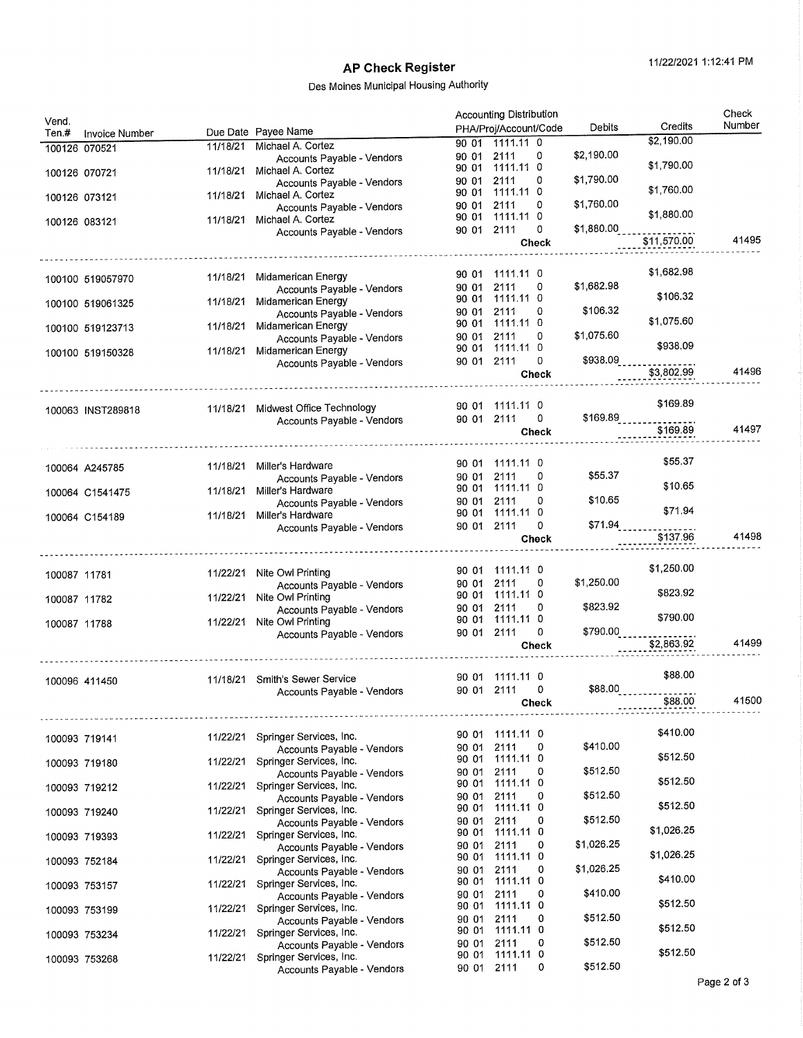| Vend.             |                |                                                       | <b>Accounting Distribution</b>      |                  |                          |                      | Check  |
|-------------------|----------------|-------------------------------------------------------|-------------------------------------|------------------|--------------------------|----------------------|--------|
| Ten.#             | Invoice Number | Due Date Payee Name                                   | PHA/Proj/Account/Code               |                  | Debits                   | Credits              | Number |
| 100126 070521     |                | 11/18/21 Michael A. Cortez                            | 90 01 1111.11 0                     |                  |                          | \$2,190.00           |        |
|                   |                | Accounts Payable - Vendors                            | 90 01 2111<br>90 01 1111.11 0       | 0                | \$2,190.00               | \$1,790.00           |        |
| 100126 070721     | 11/18/21       | Michael A. Cortez<br>Accounts Payable - Vendors       | 2111<br>90 01                       | 0                | \$1,790.00               |                      |        |
| 100126 073121     | 11/18/21       | Michael A. Cortez                                     | 1111.11 0<br>90 01                  |                  |                          | \$1,760.00           |        |
|                   |                | Accounts Payable - Vendors                            | 2111<br>90 01                       | 0                | \$1,760.00               |                      |        |
| 100126 083121     | 11/18/21       | Michael A. Cortez                                     | 1111.11 0<br>90 01                  |                  |                          | \$1,880.00           |        |
|                   |                | Accounts Payable - Vendors                            | 90 01 2111                          | 0                | \$1,880.00               |                      |        |
|                   |                |                                                       |                                     | Check            |                          | \$11,570.00          | 41495  |
|                   |                |                                                       |                                     |                  |                          |                      |        |
| 100100 519057970  | 11/18/21       | Midamerican Energy                                    | 90 01 1111.11 0                     | 0                | \$1,682.98               | \$1,682.98           |        |
|                   |                | Accounts Payable - Vendors                            | 2111<br>90 01<br>90 01 1111.11 0    |                  |                          | \$106.32             |        |
| 100100 519061325  | 11/18/21       | Midamerican Energy<br>Accounts Payable - Vendors      | 2111<br>90 01                       | 0                | \$106.32                 |                      |        |
| 100100 519123713  | 11/18/21       | Midamerican Energy                                    | 1111.11 0<br>90 01                  |                  |                          | \$1,075.60           |        |
|                   |                | Accounts Payable - Vendors                            | 2111<br>90 01                       | 0                | \$1,075.60               |                      |        |
| 100100 519150328  | 11/18/21       | Midamerican Energy                                    | 1111.11 0<br>90 01                  |                  |                          | \$938.09             |        |
|                   |                | Accounts Payable - Vendors                            | 90 01 2111                          | 0                | \$938.09                 | \$3,802.99           | 41496  |
|                   |                |                                                       |                                     | Check            |                          |                      |        |
|                   |                |                                                       |                                     |                  |                          |                      |        |
| 100063 INST289818 | 11/18/21       | Midwest Office Technology                             | 90 01 1111.11 0                     |                  |                          | \$169.89             |        |
|                   |                | Accounts Payable - Vendors                            | 90 01 2111                          | 0<br>Check       |                          | \$169.89<br>\$169.89 | 41497  |
|                   |                |                                                       |                                     |                  |                          |                      |        |
|                   |                |                                                       | 90 01 1111.11 0                     |                  |                          | \$55.37              |        |
| 100064 A245785    | 11/18/21       | Miller's Hardware                                     | 2111<br>90 01                       | 0                | \$55.37                  |                      |        |
| 100064 C1541475   | 11/18/21       | Accounts Payable - Vendors<br>Miller's Hardware       | 90 01 1111.11 0                     |                  |                          | \$10.65              |        |
|                   |                | Accounts Payable - Vendors                            | 2111<br>90 01                       | 0                | \$10.65                  |                      |        |
| 100064 C154189    | 11/18/21       | Miller's Hardware                                     | 1111.11 0<br>90 01                  |                  |                          | \$71.94              |        |
|                   |                | Accounts Payable - Vendors                            | 90 01 2111                          | 0                | \$71.94                  |                      | 41498  |
|                   |                |                                                       |                                     | <b>Check</b>     |                          | \$137.96             |        |
|                   |                |                                                       |                                     |                  |                          |                      |        |
|                   |                |                                                       |                                     |                  |                          |                      |        |
| 100087 11781      | 11/22/21       | Nite Owl Printing                                     | 90 01 1111.11 0                     |                  |                          | \$1,250.00           |        |
|                   |                | Accounts Payable - Vendors                            | 2111<br>90 01                       | 0                | \$1,250.00               |                      |        |
| 100087 11782      | 11/22/21       | Nite Owl Printing                                     | 1111.11 0<br>90 01                  | 0                | \$823.92                 | \$823.92             |        |
|                   |                | Accounts Payable - Vendors                            | 2111<br>90 01<br>1111.11 0<br>90 01 |                  |                          | \$790.00             |        |
| 100087 11788      | 11/22/21       | Nite Owl Printing<br>Accounts Payable - Vendors       | 90 01 2111                          | 0                | \$790.00                 |                      |        |
|                   |                |                                                       |                                     | Check            |                          | \$2,863.92           | 41499  |
|                   |                |                                                       |                                     |                  |                          |                      |        |
|                   |                | 11/18/21 Smith's Sewer Service                        | 90 01 1111.11 0                     |                  |                          | \$88.00              |        |
| 100096 411450     |                | Accounts Payable - Vendors                            | 90 01 2111                          | 0                | $$88.00$ <sub>2222</sub> |                      |        |
|                   |                |                                                       |                                     | Check            |                          | \$88.00              | 41500  |
|                   |                |                                                       |                                     |                  |                          |                      |        |
| 100093 719141     | 11/22/21       | Springer Services, Inc.                               | 90 01 1111.11 0                     |                  |                          | \$410.00             |        |
|                   |                | Accounts Payable - Vendors                            | 2111<br>90 01                       | 0                | \$410.00                 |                      |        |
| 100093 719180     | 11/22/21       | Springer Services, Inc.                               | 90 01 1111.11 0                     | 0                |                          | \$512.50             |        |
|                   |                | Accounts Payable - Vendors                            | 2111<br>90 01<br>1111.11 0<br>90 01 |                  | \$512.50                 | \$512.50             |        |
| 100093 719212     | 11/22/21       | Springer Services, Inc.<br>Accounts Payable - Vendors | 2111<br>90 01                       | 0                | \$512.50                 |                      |        |
| 100093 719240     | 11/22/21       | Springer Services, Inc.                               | 1111.11 0<br>90 01                  |                  |                          | \$512.50             |        |
|                   |                | Accounts Payable - Vendors                            | 2111<br>90 01                       | 0                | \$512.50                 | \$1,026.25           |        |
| 100093 719393     | 11/22/21       | Springer Services, Inc.                               | 1111.11 0<br>90 01<br>2111<br>90 01 | 0                | \$1,026.25               |                      |        |
|                   | 11/22/21       | Accounts Payable - Vendors<br>Springer Services, Inc. | 1111.11 0<br>90 01                  |                  |                          | \$1,026.25           |        |
| 100093 752184     |                | Accounts Payable - Vendors                            | 2111<br>90 01                       | 0                | \$1,026.25               |                      |        |
| 100093 753157     | 11/22/21       | Springer Services, Inc.                               | 1111.11 0<br>90 01                  |                  |                          | \$410.00             |        |
|                   |                | Accounts Payable - Vendors                            | 2111<br>90 01                       | 0                | \$410.00                 |                      |        |
| 100093 753199     | 11/22/21       | Springer Services, Inc.                               | 1111.11 0<br>90 01                  |                  |                          | \$512.50             |        |
|                   |                | Accounts Payable - Vendors                            | 2111<br>90 01<br>1111.11 0<br>90 01 | 0                | \$512.50                 | \$512.50             |        |
| 100093 753234     | 11/22/21       | Springer Services, Inc.<br>Accounts Payable - Vendors | 2111<br>90 01                       | 0                | \$512.50                 |                      |        |
| 100093 753268     | 11/22/21       | Springer Services, Inc.<br>Accounts Payable - Vendors | 90 01<br>90 01 2111                 | $1111.11$ 0<br>0 | \$512.50                 | \$512.50             |        |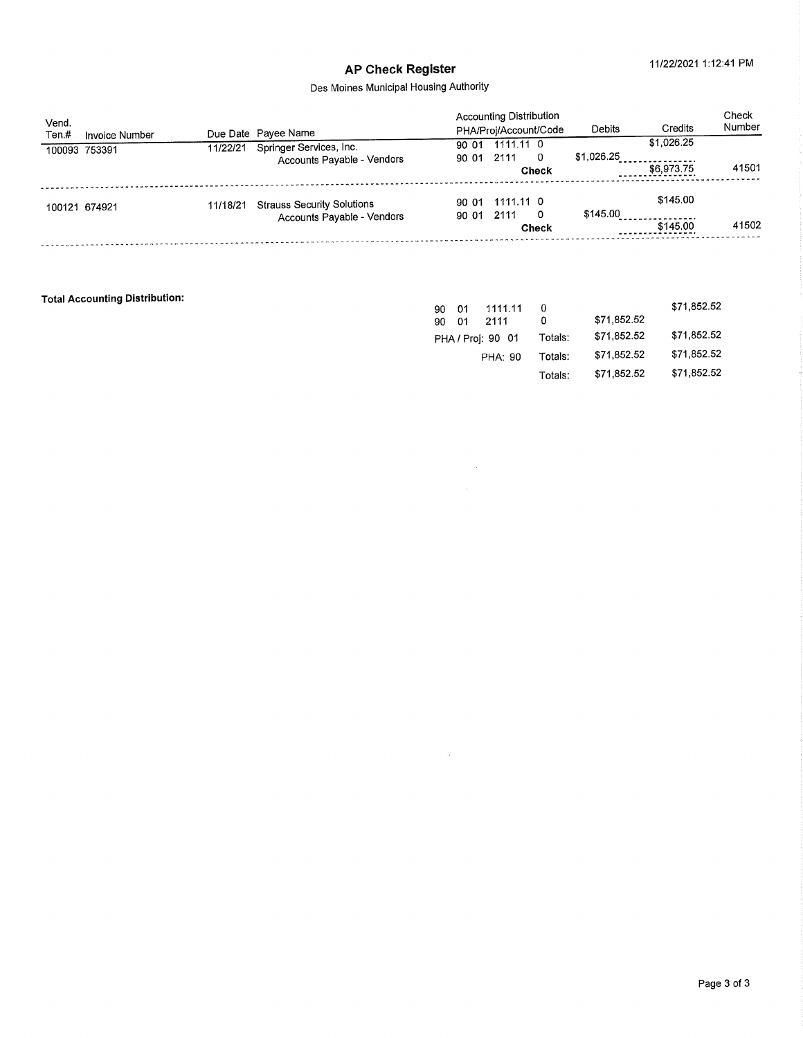# AP Check Register 11/22/2021 1:12:41 PM

### Des Moines Municipal Housing Authority

| Vend.<br>Ten.# | Invoice Number |          | Due Date Payee Name               |                | <b>Accounting Distribution</b><br>PHA/Proj/Account/Code |       | Debits     | Credits    | Check<br>Number |
|----------------|----------------|----------|-----------------------------------|----------------|---------------------------------------------------------|-------|------------|------------|-----------------|
|                | 100093 753391  | 11/22/21 | Springer Services, Inc.           | 90 01<br>90.01 | 1111.11 0<br>2111                                       | - 0   | \$1,026.25 | \$1,026.25 |                 |
|                |                |          | Accounts Payable - Vendors        |                |                                                         | Check |            | \$6,973.75 | 41501           |
|                | 100121 674921  | 11/18/21 | <b>Strauss Security Solutions</b> | 90 01          | 90 01 1111.11 0<br>2111                                 | - 0   | \$145.00   | \$145.00   |                 |
|                |                |          | Accounts Payable - Vendors        |                | Check                                                   |       |            | \$145.00   | 41502           |
|                |                |          |                                   |                |                                                         |       |            |            |                 |

 $\sim$ 

### Total Accounting Distribution:

| 1111.11<br>01<br>90 | 0       | \$71,852.52 | \$71,852.52 |
|---------------------|---------|-------------|-------------|
| 2111<br>01<br>90    | 0       |             |             |
| PHA / Proj: 90 01   | Totals: | \$71.852.52 | \$71,852.52 |
| <b>PHA: 90</b>      | Totals: | \$71,852.52 | \$71.852.52 |
|                     | Totals: | \$71,852.52 | \$71.852.52 |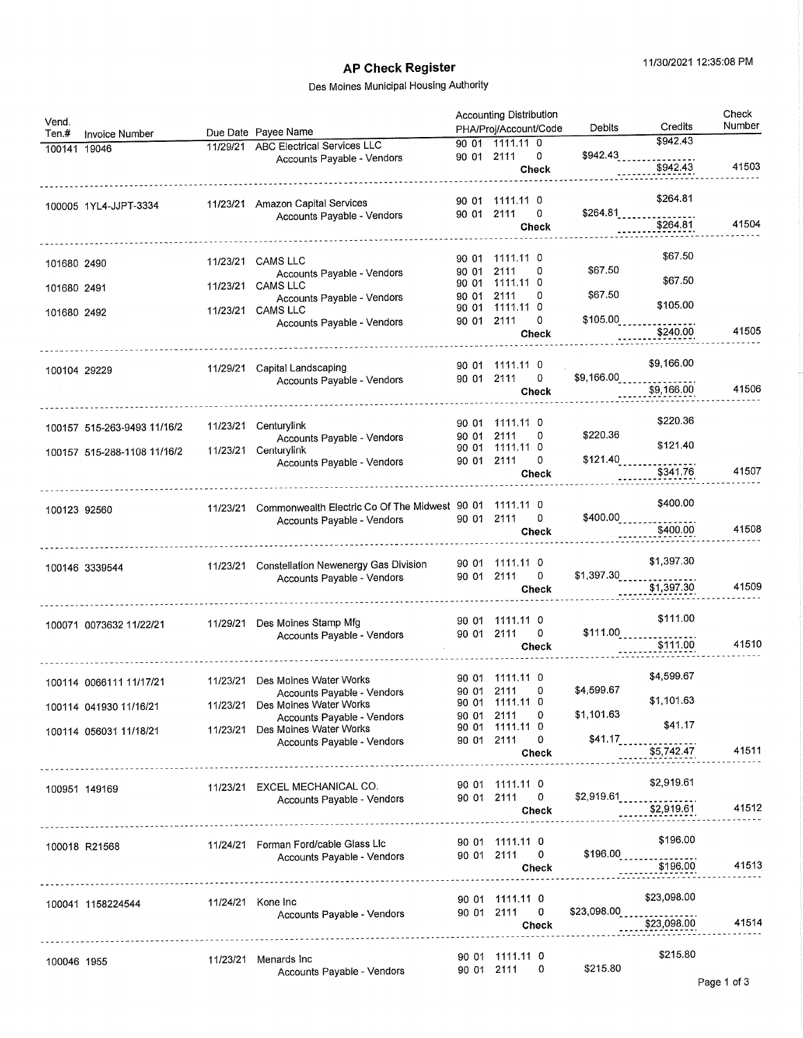# AP Check Register 11/30/2021 12:35:08 PM

| Vend.<br>Ten.#<br>Invoice Number |          | Due Date Payee Name                                           |                | <b>Accounting Distribution</b><br>PHA/Proj/Account/Code | Debits                           | Credits                                                  | Check<br>Number |
|----------------------------------|----------|---------------------------------------------------------------|----------------|---------------------------------------------------------|----------------------------------|----------------------------------------------------------|-----------------|
| 100141 19046                     | 11/29/21 | <b>ABC Electrical Services LLC</b>                            |                | 90 01 1111.11 0                                         |                                  | \$942.43                                                 |                 |
|                                  |          | Accounts Payable - Vendors                                    | 90 01 2111     | 0                                                       | \$942.43                         |                                                          |                 |
|                                  |          |                                                               |                | Check                                                   |                                  | \$942.43                                                 | 41503           |
| 100005 1YL4-JJPT-3334            |          | 11/23/21 Amazon Capital Services                              |                | 90 01 1111.11 0                                         |                                  | \$264.81                                                 |                 |
|                                  |          | Accounts Payable - Vendors                                    | 90 01 2111     | 0                                                       | \$264.81                         |                                                          |                 |
|                                  |          |                                                               |                | <b>Check</b>                                            |                                  | \$264.81                                                 | 41504           |
| 101680 2490                      | 11/23/21 | <b>CAMS LLC</b>                                               | 90 01          | 1111.11 0                                               |                                  | \$67.50                                                  |                 |
|                                  |          | Accounts Payable - Vendors<br>CAMS LLC                        | 90 01<br>90 01 | 2111<br>0<br>1111.11 0                                  | \$67.50                          | \$67.50                                                  |                 |
| 101680 2491                      | 11/23/21 | Accounts Payable - Vendors                                    | 90 01          | 2111<br>0                                               | \$67.50                          | \$105.00                                                 |                 |
| 101680 2492                      | 11/23/21 | <b>CAMS LLC</b>                                               | 90 01 2111     | 90 01 1111.11 0<br>0                                    | \$105.00                         |                                                          |                 |
|                                  |          | Accounts Payable - Vendors                                    |                | Check                                                   |                                  | \$240.00                                                 | 41505           |
|                                  |          |                                                               |                |                                                         |                                  | \$9,166.00                                               |                 |
| 100104 29229                     | 11/29/21 | Capital Landscaping<br>Accounts Payable - Vendors             |                | 90 01 1111.11 0<br>90 01 2111<br>0                      | \$9,166.00                       |                                                          |                 |
|                                  |          |                                                               |                | <b>Check</b>                                            |                                  | \$9,166.00                                               | 41506           |
|                                  |          |                                                               | 90 01          | 1111.11 0                                               |                                  | \$220.36                                                 |                 |
| 100157 515-263-9493 11/16/2      | 11/23/21 | Centurylink<br>Accounts Payable - Vendors                     | 90 01          | 2111<br>0                                               | \$220.36                         |                                                          |                 |
| 100157 515-288-1108 11/16/2      | 11/23/21 | Centurylink                                                   | 90 01          | 1111.11 0                                               |                                  | \$121.40                                                 |                 |
|                                  |          | Accounts Payable - Vendors                                    | 90 01          | 2111<br>0                                               | \$121.40                         | \$341.76                                                 | 41507           |
|                                  |          |                                                               |                | Check                                                   |                                  |                                                          |                 |
| 100123 92560                     | 11/23/21 | Commonwealth Electric Co Of The Midwest 90 01                 |                | 1111.11 0                                               |                                  | \$400.00                                                 |                 |
|                                  |          | Accounts Payable - Vendors                                    |                | 90 01 2111<br>0<br>Check                                |                                  | \$400.00<br>\$400.00                                     | 41508           |
|                                  |          |                                                               |                |                                                         |                                  |                                                          |                 |
| 100146 3339544                   | 11/23/21 | Constellation Newenergy Gas Division                          | 90 01          | 1111.11 0                                               |                                  | \$1,397.30                                               |                 |
|                                  |          | Accounts Payable - Vendors                                    |                | 0<br>90 01 2111                                         | $$1,397.30$ <sub>2222</sub>      | \$1,397.30                                               | 41509           |
|                                  |          |                                                               |                | Check                                                   |                                  |                                                          |                 |
| 100071 0073632 11/22/21          | 11/29/21 | Des Moines Stamp Mfg                                          |                | 90 01 1111.11 0                                         |                                  | \$111.00                                                 |                 |
|                                  |          | Accounts Payable - Vendors                                    |                | 90 01 2111<br>0                                         | $$111.00$ <sub>222222</sub>      | $\frac{1}{1}$ \$111.00                                   | 41510           |
|                                  |          |                                                               |                | Check                                                   |                                  |                                                          |                 |
| 100114 0066111 11/17/21          |          | 11/23/21 Des Moines Water Works                               |                | 90 01 1111.11 0                                         |                                  | \$4,599.67                                               |                 |
|                                  |          | Accounts Payable - Vendors                                    |                | 90 01 2111<br>0                                         | \$4,599.67                       | \$1,101.63                                               |                 |
| 100114 041930 11/16/21           |          | 11/23/21 Des Moines Water Works<br>Accounts Payable - Vendors |                | 90 01 1111.11 0<br>90 01 2111<br>0                      | \$1,101.63                       |                                                          |                 |
| 100114 056031 11/18/21           |          | 11/23/21 Des Moines Water Works                               |                | 90 01 1111.11 0                                         |                                  | \$41.17                                                  |                 |
|                                  |          | Accounts Payable - Vendors                                    |                | 90 01 2111<br>0                                         | \$41.17                          |                                                          | 41511           |
|                                  |          |                                                               |                | Check                                                   |                                  | \$5,742.47                                               |                 |
| 100951 149169                    |          | 11/23/21 EXCEL MECHANICAL CO.                                 |                | 90 01 1111.11 0                                         |                                  | \$2,919.61                                               |                 |
|                                  |          | Accounts Payable - Vendors                                    |                | 90 01 2111<br>0<br>Check                                |                                  | \$2,919.61<br>\$2,919.61                                 | 41512           |
|                                  |          |                                                               |                |                                                         |                                  |                                                          |                 |
| 100018 R21568                    |          | 11/24/21 Forman Ford/cable Glass Lic                          |                | 90 01 1111.11 0                                         |                                  | \$196.00                                                 |                 |
|                                  |          | Accounts Payable - Vendors                                    |                | 90 01 2111 0                                            | $$196.00$ <sub>222222222</sub> . | \$196.00                                                 | 41513           |
|                                  |          |                                                               |                | Check                                                   |                                  |                                                          |                 |
| 100041 1158224544                |          | 11/24/21 Kone Inc                                             |                | 90 01 1111.11 0                                         |                                  | \$23,098.00                                              |                 |
|                                  |          | Accounts Payable - Vendors                                    |                | 90 01 2111<br>$\mathbf 0$                               |                                  | $$23,098.00$ <sub>2</sub> 222222222222223<br>\$23,098.00 | 41514           |
|                                  |          |                                                               |                | Check                                                   |                                  |                                                          |                 |
|                                  |          |                                                               |                | 90 01 1111.11 0                                         |                                  | \$215.80                                                 |                 |
| 100046 1955                      |          | 11/23/21 Menards Inc<br>Accounts Payable - Vendors            |                | 90 01 2111<br>0                                         | \$215.80                         |                                                          |                 |
|                                  |          |                                                               |                |                                                         |                                  |                                                          |                 |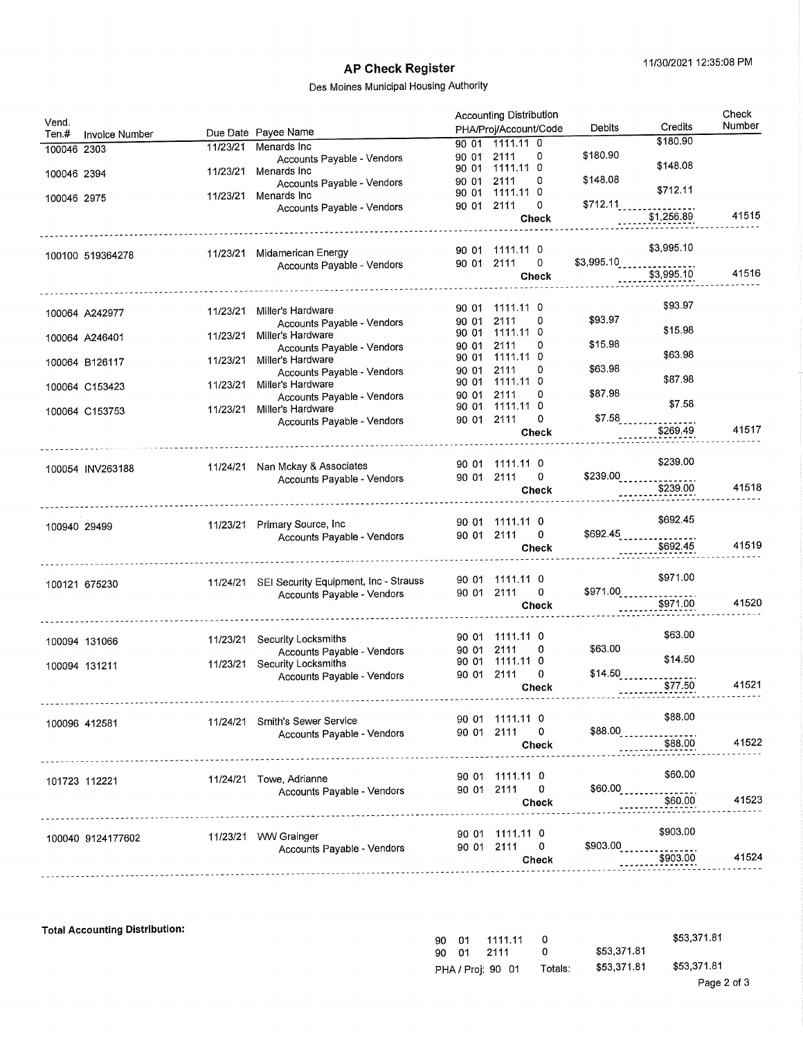## Des Moines Municipal Housing Authority

| Vend.        |                   |          |                                                 |            | <b>Accounting Distribution</b><br>PHA/Proj/Account/Code | Debits                       | Credits                                           | Check<br>Number |
|--------------|-------------------|----------|-------------------------------------------------|------------|---------------------------------------------------------|------------------------------|---------------------------------------------------|-----------------|
| Ten.#        | Invoice Number    |          | Due Date Payee Name                             |            | 90 01 1111.11 0                                         |                              | \$180.90                                          |                 |
| 100046 2303  |                   | 11/23/21 | Menards Inc                                     | 90 01      | 2111<br>0                                               | \$180.90                     |                                                   |                 |
|              |                   |          | Accounts Payable - Vendors<br>Menards Inc       | 90 01      | 1111.11 0                                               |                              | \$148.08                                          |                 |
| 100046 2394  |                   | 11/23/21 | Accounts Payable - Vendors                      | 90 01      | 0<br>2111                                               | \$148.08                     |                                                   |                 |
| 100046 2975  |                   | 11/23/21 | Menards Inc                                     | 90 01      | 1111.11 0                                               |                              | \$712.11                                          |                 |
|              |                   |          | Accounts Payable - Vendors                      | 90 01      | 2111<br>0                                               |                              | $$712.11$<br>$$1,256.89$                          |                 |
|              |                   |          |                                                 |            | Check                                                   |                              |                                                   | 41515           |
|              |                   |          |                                                 |            |                                                         |                              |                                                   |                 |
|              |                   | 11/23/21 | Midamerican Energy                              |            | 90 01 1111.11 0                                         |                              | \$3,995.10                                        |                 |
|              | 100100 519364278  |          | Accounts Payable - Vendors                      | 90 01 2111 | 0                                                       |                              | \$3,995.10                                        |                 |
|              |                   |          |                                                 |            | Check                                                   |                              | \$3,995.10                                        | 41516           |
|              |                   |          |                                                 |            |                                                         |                              |                                                   |                 |
|              |                   |          |                                                 |            | 90 01 1111.11 0                                         |                              | \$93.97                                           |                 |
|              | 100064 A242977    | 11/23/21 | Miller's Hardware<br>Accounts Payable - Vendors | 90 01      | 2111<br>0                                               | \$93.97                      |                                                   |                 |
|              |                   | 11/23/21 | Miller's Hardware                               | 90 01      | 1111.11 0                                               |                              | \$15.98                                           |                 |
|              | 100064 A246401    |          | Accounts Payable - Vendors                      | 90 01      | 2111<br>0                                               | \$15.98                      |                                                   |                 |
|              | 100064 B126117    | 11/23/21 | Miller's Hardware                               | 90 01      | 1111.11 0                                               |                              | \$63.98                                           |                 |
|              |                   |          | Accounts Payable - Vendors                      | 90 01      | 2111<br>0                                               | \$63.98                      |                                                   |                 |
|              | 100064 C153423    | 11/23/21 | Miller's Hardware                               | 90 01      | 1111.11 0                                               |                              | \$87.98                                           |                 |
|              |                   |          | Accounts Payable - Vendors                      | 90 01      | 2111<br>0<br>90 01 1111.11 0                            | \$87.98                      | \$7.58                                            |                 |
|              | 100064 C153753    | 11/23/21 | Miller's Hardware                               | 90 01      | 0<br>2111                                               | \$7.58                       |                                                   |                 |
|              |                   |          | Accounts Payable - Vendors                      |            | <b>Check</b>                                            |                              | \$269.49                                          | 41517           |
|              |                   |          |                                                 |            |                                                         |                              |                                                   |                 |
|              |                   |          |                                                 |            |                                                         |                              | \$239.00                                          |                 |
|              | 100054 INV263188  | 11/24/21 | Nan Mckay & Associates                          |            | 90 01 1111.11 0<br>0                                    | $$239.00$ <sub>_____</sub> _ |                                                   |                 |
|              |                   |          | Accounts Payable - Vendors                      |            | 90 01 2111<br>Check                                     |                              | \$239.00                                          | 41518           |
|              |                   |          | ------------------------------------            |            |                                                         |                              |                                                   |                 |
|              |                   |          |                                                 |            |                                                         |                              |                                                   |                 |
| 100940 29499 |                   |          | 11/23/21 Primary Source, Inc                    |            | 90 01 1111.11 0                                         |                              | \$692.45                                          |                 |
|              |                   |          | Accounts Payable - Vendors                      |            | 0<br>90 01 2111                                         |                              | $$692.45$ <sub>________________</sub><br>\$692.45 | 41519           |
|              |                   |          |                                                 |            | Check                                                   |                              |                                                   |                 |
|              |                   |          |                                                 |            |                                                         |                              |                                                   |                 |
|              | 100121 675230     |          | 11/24/21 SEI Security Equipment, Inc - Strauss  |            | 90 01 1111.11 0                                         |                              | \$971.00                                          |                 |
|              |                   |          | Accounts Payable - Vendors                      |            | 90 01 2111<br>0                                         | $$971.00$ <sub>-------</sub> |                                                   | 41520           |
|              |                   |          |                                                 |            | Check                                                   |                              | \$971.00                                          |                 |
|              |                   |          |                                                 |            |                                                         |                              |                                                   |                 |
|              | 100094 131066     | 11/23/21 | Security Locksmiths                             |            | 90 01 1111.11 0                                         |                              | \$63.00                                           |                 |
|              |                   |          | Accounts Payable - Vendors                      | 90 01      | 2111<br>0                                               | \$63.00                      |                                                   |                 |
|              | 100094 131211     | 11/23/21 | Security Locksmiths                             | 90 01      | 1111.11 0                                               |                              | \$14.50                                           |                 |
|              |                   |          | Accounts Payable - Vendors                      |            | 90 01 2111<br>0<br><b>Check</b>                         | \$14.50                      | \$77.50                                           | 41521           |
|              |                   |          |                                                 |            |                                                         |                              |                                                   |                 |
|              |                   |          |                                                 |            |                                                         |                              |                                                   |                 |
|              | 100096 412581     | 11/24/21 | Smith's Sewer Service                           |            | 90 01 1111.11 0                                         |                              | \$88,00                                           |                 |
|              |                   |          | Accounts Payable - Vendors                      |            | 90 01 2111<br>0                                         | \$88.00                      | \$88.00                                           | 41522           |
|              |                   |          |                                                 |            | Check                                                   |                              |                                                   |                 |
|              |                   |          |                                                 |            |                                                         |                              |                                                   |                 |
|              | 101723 112221     |          | 11/24/21 Towe, Adrianne                         |            | 90 01 1111.11 0                                         |                              | \$60,00                                           |                 |
|              |                   |          | Accounts Payable - Vendors                      |            | 90 01 2111<br>0                                         | \$60.00                      |                                                   |                 |
|              |                   |          |                                                 |            | <b>Check</b>                                            |                              | \$60,00                                           | 41523           |
|              |                   |          |                                                 |            |                                                         |                              |                                                   |                 |
|              | 100040 9124177602 | 11/23/21 | <b>WW Grainger</b>                              |            | 90 01 1111.11 0                                         |                              | \$903.00                                          |                 |
|              |                   |          | Accounts Payable - Vendors                      |            | 90 01 2111<br>0                                         | \$903.00                     |                                                   |                 |
|              |                   |          |                                                 |            | Check                                                   |                              | \$903.00                                          | 41524           |
|              |                   |          |                                                 |            |                                                         |                              |                                                   |                 |

Total Accounting Distribution;

| 90. | . n1 | 1111.11           |         |             | \$53,371.81 |
|-----|------|-------------------|---------|-------------|-------------|
| 90  | _ ი1 | 2111              |         | \$53,371.81 |             |
|     |      | PHA / Proj: 90 01 | Totals: | \$53.371.81 | \$53,371.81 |
|     |      |                   |         |             | - - -       |

 $\frac{1}{2}$